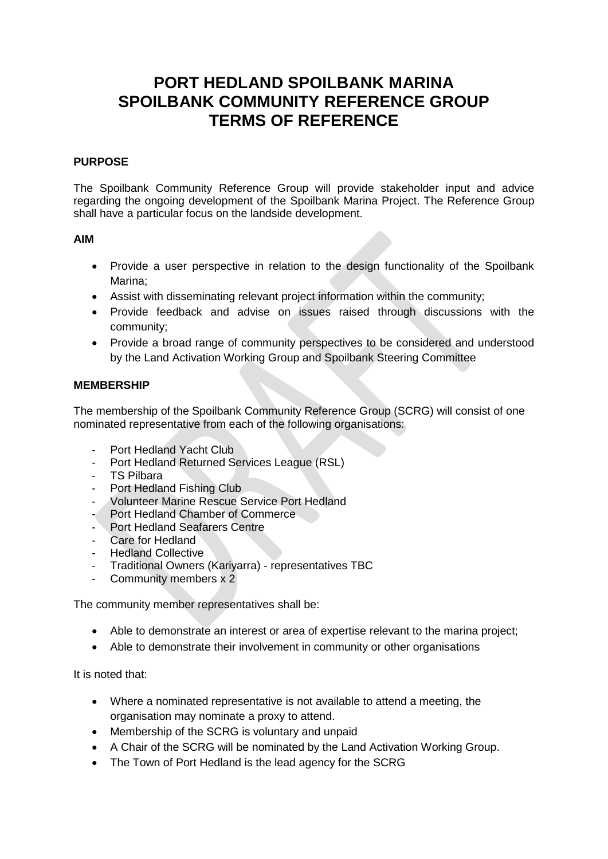# **PORT HEDLAND SPOILBANK MARINA SPOILBANK COMMUNITY REFERENCE GROUP TERMS OF REFERENCE**

### **PURPOSE**

The Spoilbank Community Reference Group will provide stakeholder input and advice regarding the ongoing development of the Spoilbank Marina Project. The Reference Group shall have a particular focus on the landside development.

#### **AIM**

- Provide a user perspective in relation to the design functionality of the Spoilbank Marina;
- Assist with disseminating relevant project information within the community;
- Provide feedback and advise on issues raised through discussions with the community;
- Provide a broad range of community perspectives to be considered and understood by the Land Activation Working Group and Spoilbank Steering Committee

### **MEMBERSHIP**

The membership of the Spoilbank Community Reference Group (SCRG) will consist of one nominated representative from each of the following organisations:

- Port Hedland Yacht Club
- Port Hedland Returned Services League (RSL)
- TS Pilbara
- Port Hedland Fishing Club
- Volunteer Marine Rescue Service Port Hedland
- Port Hedland Chamber of Commerce
- Port Hedland Seafarers Centre
- Care for Hedland
- Hedland Collective
- Traditional Owners (Kariyarra) representatives TBC
- Community members x 2

The community member representatives shall be:

- Able to demonstrate an interest or area of expertise relevant to the marina project;
- Able to demonstrate their involvement in community or other organisations

It is noted that:

- Where a nominated representative is not available to attend a meeting, the organisation may nominate a proxy to attend.
- Membership of the SCRG is voluntary and unpaid
- A Chair of the SCRG will be nominated by the Land Activation Working Group.
- The Town of Port Hedland is the lead agency for the SCRG